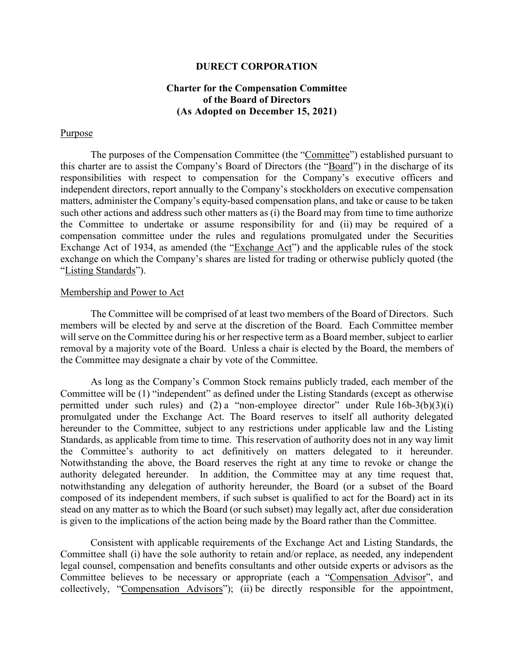### **DURECT CORPORATION**

## **Charter for the Compensation Committee of the Board of Directors (As Adopted on December 15, 2021)**

#### Purpose

The purposes of the Compensation Committee (the "Committee") established pursuant to this charter are to assist the Company's Board of Directors (the "Board") in the discharge of its responsibilities with respect to compensation for the Company's executive officers and independent directors, report annually to the Company's stockholders on executive compensation matters, administer the Company's equity-based compensation plans, and take or cause to be taken such other actions and address such other matters as (i) the Board may from time to time authorize the Committee to undertake or assume responsibility for and (ii) may be required of a compensation committee under the rules and regulations promulgated under the Securities Exchange Act of 1934, as amended (the "Exchange Act") and the applicable rules of the stock exchange on which the Company's shares are listed for trading or otherwise publicly quoted (the "Listing Standards").

#### Membership and Power to Act

The Committee will be comprised of at least two members of the Board of Directors. Such members will be elected by and serve at the discretion of the Board. Each Committee member will serve on the Committee during his or her respective term as a Board member, subject to earlier removal by a majority vote of the Board. Unless a chair is elected by the Board, the members of the Committee may designate a chair by vote of the Committee.

As long as the Company's Common Stock remains publicly traded, each member of the Committee will be (1) "independent" as defined under the Listing Standards (except as otherwise permitted under such rules) and  $(2)$  a "non-employee director" under Rule  $16b-3(b)(3)(i)$ promulgated under the Exchange Act. The Board reserves to itself all authority delegated hereunder to the Committee, subject to any restrictions under applicable law and the Listing Standards, as applicable from time to time. This reservation of authority does not in any way limit the Committee's authority to act definitively on matters delegated to it hereunder. Notwithstanding the above, the Board reserves the right at any time to revoke or change the authority delegated hereunder. In addition, the Committee may at any time request that, notwithstanding any delegation of authority hereunder, the Board (or a subset of the Board composed of its independent members, if such subset is qualified to act for the Board) act in its stead on any matter as to which the Board (or such subset) may legally act, after due consideration is given to the implications of the action being made by the Board rather than the Committee.

Consistent with applicable requirements of the Exchange Act and Listing Standards, the Committee shall (i) have the sole authority to retain and/or replace, as needed, any independent legal counsel, compensation and benefits consultants and other outside experts or advisors as the Committee believes to be necessary or appropriate (each a "Compensation Advisor", and collectively, "Compensation Advisors"); (ii) be directly responsible for the appointment,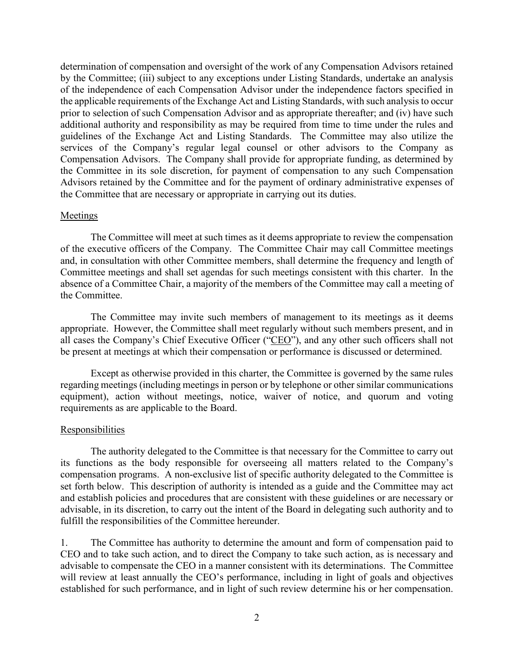determination of compensation and oversight of the work of any Compensation Advisors retained by the Committee; (iii) subject to any exceptions under Listing Standards, undertake an analysis of the independence of each Compensation Advisor under the independence factors specified in the applicable requirements of the Exchange Act and Listing Standards, with such analysis to occur prior to selection of such Compensation Advisor and as appropriate thereafter; and (iv) have such additional authority and responsibility as may be required from time to time under the rules and guidelines of the Exchange Act and Listing Standards. The Committee may also utilize the services of the Company's regular legal counsel or other advisors to the Company as Compensation Advisors. The Company shall provide for appropriate funding, as determined by the Committee in its sole discretion, for payment of compensation to any such Compensation Advisors retained by the Committee and for the payment of ordinary administrative expenses of the Committee that are necessary or appropriate in carrying out its duties.

#### **Meetings**

The Committee will meet at such times as it deems appropriate to review the compensation of the executive officers of the Company. The Committee Chair may call Committee meetings and, in consultation with other Committee members, shall determine the frequency and length of Committee meetings and shall set agendas for such meetings consistent with this charter. In the absence of a Committee Chair, a majority of the members of the Committee may call a meeting of the Committee.

The Committee may invite such members of management to its meetings as it deems appropriate. However, the Committee shall meet regularly without such members present, and in all cases the Company's Chief Executive Officer ("CEO"), and any other such officers shall not be present at meetings at which their compensation or performance is discussed or determined.

Except as otherwise provided in this charter, the Committee is governed by the same rules regarding meetings (including meetings in person or by telephone or other similar communications equipment), action without meetings, notice, waiver of notice, and quorum and voting requirements as are applicable to the Board.

#### **Responsibilities**

The authority delegated to the Committee is that necessary for the Committee to carry out its functions as the body responsible for overseeing all matters related to the Company's compensation programs. A non-exclusive list of specific authority delegated to the Committee is set forth below. This description of authority is intended as a guide and the Committee may act and establish policies and procedures that are consistent with these guidelines or are necessary or advisable, in its discretion, to carry out the intent of the Board in delegating such authority and to fulfill the responsibilities of the Committee hereunder.

1. The Committee has authority to determine the amount and form of compensation paid to CEO and to take such action, and to direct the Company to take such action, as is necessary and advisable to compensate the CEO in a manner consistent with its determinations. The Committee will review at least annually the CEO's performance, including in light of goals and objectives established for such performance, and in light of such review determine his or her compensation.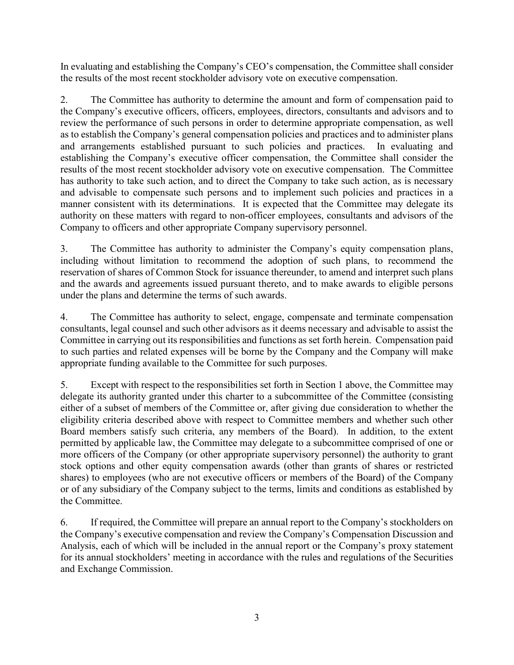In evaluating and establishing the Company's CEO's compensation, the Committee shall consider the results of the most recent stockholder advisory vote on executive compensation.

2. The Committee has authority to determine the amount and form of compensation paid to the Company's executive officers, officers, employees, directors, consultants and advisors and to review the performance of such persons in order to determine appropriate compensation, as well as to establish the Company's general compensation policies and practices and to administer plans and arrangements established pursuant to such policies and practices. In evaluating and establishing the Company's executive officer compensation, the Committee shall consider the results of the most recent stockholder advisory vote on executive compensation. The Committee has authority to take such action, and to direct the Company to take such action, as is necessary and advisable to compensate such persons and to implement such policies and practices in a manner consistent with its determinations. It is expected that the Committee may delegate its authority on these matters with regard to non-officer employees, consultants and advisors of the Company to officers and other appropriate Company supervisory personnel.

3. The Committee has authority to administer the Company's equity compensation plans, including without limitation to recommend the adoption of such plans, to recommend the reservation of shares of Common Stock for issuance thereunder, to amend and interpret such plans and the awards and agreements issued pursuant thereto, and to make awards to eligible persons under the plans and determine the terms of such awards.

4. The Committee has authority to select, engage, compensate and terminate compensation consultants, legal counsel and such other advisors as it deems necessary and advisable to assist the Committee in carrying out its responsibilities and functions as set forth herein. Compensation paid to such parties and related expenses will be borne by the Company and the Company will make appropriate funding available to the Committee for such purposes.

5. Except with respect to the responsibilities set forth in Section 1 above, the Committee may delegate its authority granted under this charter to a subcommittee of the Committee (consisting either of a subset of members of the Committee or, after giving due consideration to whether the eligibility criteria described above with respect to Committee members and whether such other Board members satisfy such criteria, any members of the Board). In addition, to the extent permitted by applicable law, the Committee may delegate to a subcommittee comprised of one or more officers of the Company (or other appropriate supervisory personnel) the authority to grant stock options and other equity compensation awards (other than grants of shares or restricted shares) to employees (who are not executive officers or members of the Board) of the Company or of any subsidiary of the Company subject to the terms, limits and conditions as established by the Committee.

6. If required, the Committee will prepare an annual report to the Company's stockholders on the Company's executive compensation and review the Company's Compensation Discussion and Analysis, each of which will be included in the annual report or the Company's proxy statement for its annual stockholders' meeting in accordance with the rules and regulations of the Securities and Exchange Commission.